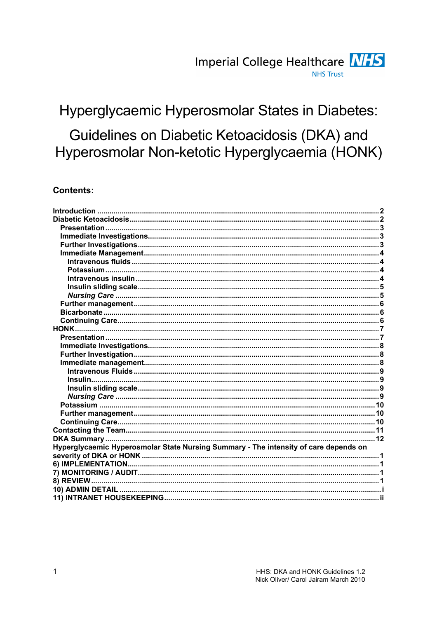# Hyperglycaemic Hyperosmolar States in Diabetes:

# Guidelines on Diabetic Ketoacidosis (DKA) and Hyperosmolar Non-ketotic Hyperglycaemia (HONK)

## **Contents:**

| HONK.                                                                                |  |
|--------------------------------------------------------------------------------------|--|
|                                                                                      |  |
|                                                                                      |  |
|                                                                                      |  |
|                                                                                      |  |
|                                                                                      |  |
|                                                                                      |  |
|                                                                                      |  |
|                                                                                      |  |
|                                                                                      |  |
|                                                                                      |  |
|                                                                                      |  |
|                                                                                      |  |
|                                                                                      |  |
| Hyperglycaemic Hyperosmolar State Nursing Summary - The intensity of care depends on |  |
|                                                                                      |  |
|                                                                                      |  |
|                                                                                      |  |
|                                                                                      |  |
|                                                                                      |  |
|                                                                                      |  |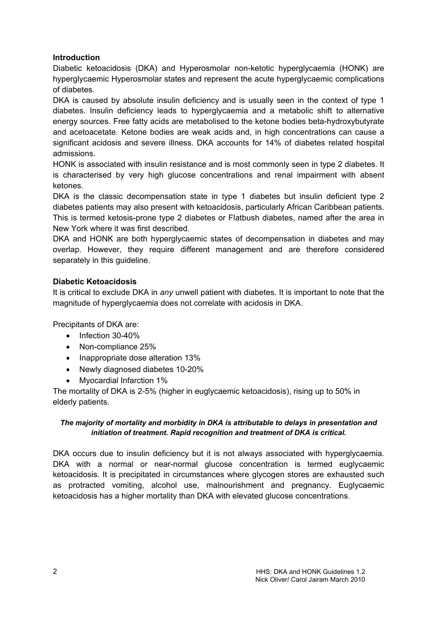## Introduction

Diabetic ketoacidosis (DKA) and Hyperosmolar non-ketotic hyperglycaemia (HONK) are hyperglycaemic Hyperosmolar states and represent the acute hyperglycaemic complications of diabetes.

DKA is caused by absolute insulin deficiency and is usually seen in the context of type 1 diabetes. Insulin deficiency leads to hyperglycaemia and a metabolic shift to alternative energy sources. Free fatty acids are metabolised to the ketone bodies beta-hydroxybutyrate and acetoacetate. Ketone bodies are weak acids and, in high concentrations can cause a significant acidosis and severe illness. DKA accounts for 14% of diabetes related hospital admissions.

HONK is associated with insulin resistance and is most commonly seen in type 2 diabetes. It is characterised by very high glucose concentrations and renal impairment with absent ketones.

DKA is the classic decompensation state in type 1 diabetes but insulin deficient type 2 diabetes patients may also present with ketoacidosis, particularly African Caribbean patients. This is termed ketosis-prone type 2 diabetes or Flatbush diabetes, named after the area in New York where it was first described.

DKA and HONK are both hyperglycaemic states of decompensation in diabetes and may overlap. However, they require different management and are therefore considered separately in this guideline.

## Diabetic Ketoacidosis

It is critical to exclude DKA in any unwell patient with diabetes. It is important to note that the magnitude of hyperglycaemia does not correlate with acidosis in DKA.

Precipitants of DKA are:

- Infection 30-40%
- Non-compliance 25%
- Inappropriate dose alteration 13%
- Newly diagnosed diabetes 10-20%
- Myocardial Infarction 1%

The mortality of DKA is 2-5% (higher in euglycaemic ketoacidosis), rising up to 50% in elderly patients.

## The majority of mortality and morbidity in DKA is attributable to delays in presentation and initiation of treatment. Rapid recognition and treatment of DKA is critical.

DKA occurs due to insulin deficiency but it is not always associated with hyperglycaemia. DKA with a normal or near-normal glucose concentration is termed euglycaemic ketoacidosis. It is precipitated in circumstances where glycogen stores are exhausted such as protracted vomiting, alcohol use, malnourishment and pregnancy. Euglycaemic ketoacidosis has a higher mortality than DKA with elevated glucose concentrations.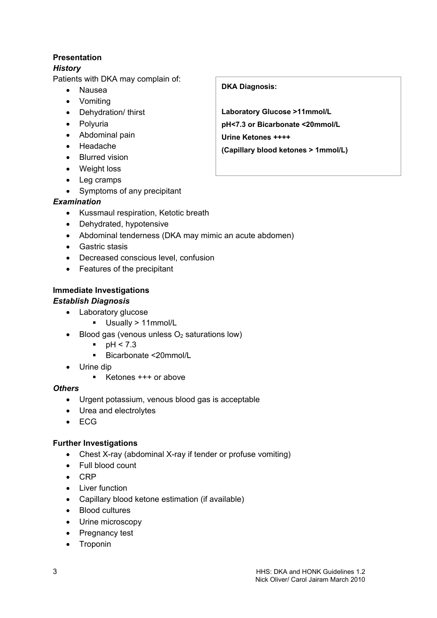## Presentation

# **History**

Patients with DKA may complain of:

- Nausea
- Vomiting
- Dehydration/ thirst
- Polyuria
- Abdominal pain
- Headache
- Blurred vision
- Weight loss
- Leg cramps
- Symptoms of any precipitant

# Examination

- Kussmaul respiration, Ketotic breath
- Dehydrated, hypotensive
- Abdominal tenderness (DKA may mimic an acute abdomen)
- Gastric stasis
- Decreased conscious level, confusion
- Features of the precipitant

# Immediate Investigations

# Establish Diagnosis

- Laboratory glucose
	- Usually > 11mmol/L
- Blood gas (venous unless  $O<sub>2</sub>$  saturations low)
	- $pH < 7.3$
	- Bicarbonate <20mmol/L
- Urine dip
	- $\blacksquare$  Ketones  $+++$  or above

# **Others**

- Urgent potassium, venous blood gas is acceptable
- Urea and electrolytes
- ECG

# Further Investigations

- Chest X-ray (abdominal X-ray if tender or profuse vomiting)
- Full blood count
- CRP
- Liver function
- Capillary blood ketone estimation (if available)
- Blood cultures
- Urine microscopy
- Pregnancy test
- Troponin

# DKA Diagnosis:

Laboratory Glucose >11mmol/L pH<7.3 or Bicarbonate <20mmol/L

Urine Ketones ++++

(Capillary blood ketones > 1mmol/L)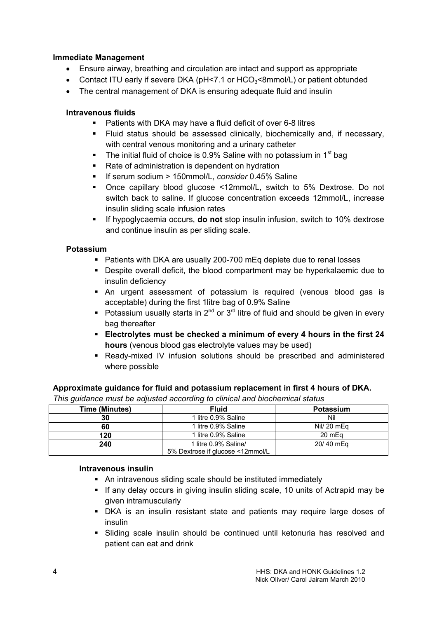#### Immediate Management

- Ensure airway, breathing and circulation are intact and support as appropriate
- Contact ITU early if severe DKA ( $pH < 7.1$  or  $HCO<sub>3</sub> < 8$ mmol/L) or patient obtunded
- The central management of DKA is ensuring adequate fluid and insulin

#### Intravenous fluids

- Patients with DKA may have a fluid deficit of over 6-8 litres
- Fluid status should be assessed clinically, biochemically and, if necessary, with central venous monitoring and a urinary catheter
- The initial fluid of choice is 0.9% Saline with no potassium in 1<sup>st</sup> bag
- Rate of administration is dependent on hydration
- If serum sodium > 150mmol/L, consider 0.45% Saline
- Once capillary blood glucose <12mmol/L, switch to 5% Dextrose. Do not switch back to saline. If glucose concentration exceeds 12mmol/L, increase insulin sliding scale infusion rates
- If hypoglycaemia occurs, do not stop insulin infusion, switch to 10% dextrose and continue insulin as per sliding scale.

## Potassium

- **Patients with DKA are usually 200-700 mEq deplete due to renal losses**
- Despite overall deficit, the blood compartment may be hyperkalaemic due to insulin deficiency
- An urgent assessment of potassium is required (venous blood gas is acceptable) during the first 1litre bag of 0.9% Saline
- Potassium usually starts in  $2^{nd}$  or  $3^{rd}$  litre of fluid and should be given in every bag thereafter
- Electrolytes must be checked a minimum of every 4 hours in the first 24 hours (venous blood gas electrolyte values may be used)
- Ready-mixed IV infusion solutions should be prescribed and administered where possible

#### Approximate guidance for fluid and potassium replacement in first 4 hours of DKA.

| $\ldots$ . The second contract that a second second second second and second second second second second second second second second second second second second second second second second second second second second second |                                                          |                  |
|---------------------------------------------------------------------------------------------------------------------------------------------------------------------------------------------------------------------------------|----------------------------------------------------------|------------------|
| <b>Time (Minutes)</b>                                                                                                                                                                                                           | <b>Fluid</b>                                             | <b>Potassium</b> |
| 30                                                                                                                                                                                                                              | 1 litre 0.9% Saline                                      | Nil              |
| 60                                                                                                                                                                                                                              | 1 litre 0.9% Saline                                      | Nill 20 mEa      |
| 120                                                                                                                                                                                                                             | 1 litre 0.9% Saline                                      | 20 mEg           |
| 240                                                                                                                                                                                                                             | 1 litre 0.9% Saline/<br>5% Dextrose if glucose <12mmol/L | 20/40 mEg        |

This guidance must be adjusted according to clinical and biochemical status

#### Intravenous insulin

- An intravenous sliding scale should be instituted immediately
- If any delay occurs in giving insulin sliding scale, 10 units of Actrapid may be given intramuscularly
- DKA is an insulin resistant state and patients may require large doses of insulin
- Sliding scale insulin should be continued until ketonuria has resolved and patient can eat and drink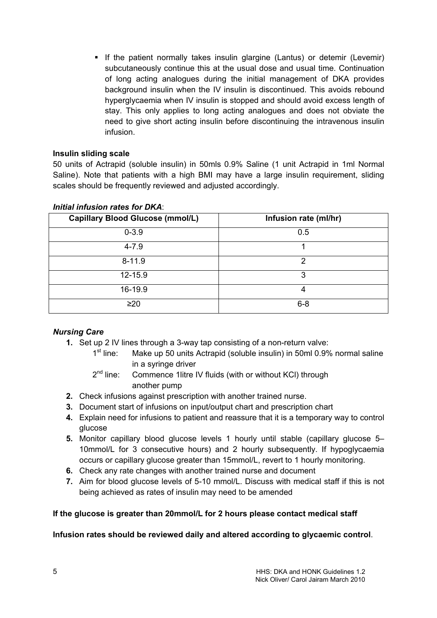If the patient normally takes insulin glargine (Lantus) or detemir (Levemir) subcutaneously continue this at the usual dose and usual time. Continuation of long acting analogues during the initial management of DKA provides background insulin when the IV insulin is discontinued. This avoids rebound hyperglycaemia when IV insulin is stopped and should avoid excess length of stay. This only applies to long acting analogues and does not obviate the need to give short acting insulin before discontinuing the intravenous insulin infusion.

## Insulin sliding scale

50 units of Actrapid (soluble insulin) in 50mls 0.9% Saline (1 unit Actrapid in 1ml Normal Saline). Note that patients with a high BMI may have a large insulin requirement, sliding scales should be frequently reviewed and adjusted accordingly.

| <b>Capillary Blood Glucose (mmol/L)</b> | Infusion rate (ml/hr) |
|-----------------------------------------|-----------------------|
| $0 - 3.9$                               | 0.5                   |
| $4 - 7.9$                               |                       |
| $8 - 11.9$                              | າ                     |
| 12-15.9                                 | З                     |
| 16-19.9                                 |                       |
| $\geq 20$                               | $6 - 8$               |

#### Initial infusion rates for DKA:

## Nursing Care

- 1. Set up 2 IV lines through a 3-way tap consisting of a non-return valve:
	- $1<sup>st</sup>$  line: Make up 50 units Actrapid (soluble insulin) in 50ml 0.9% normal saline in a syringe driver
	- $2^{nd}$  line: Commence 1 litre IV fluids (with or without KCI) through another pump
- 2. Check infusions against prescription with another trained nurse.
- 3. Document start of infusions on input/output chart and prescription chart
- 4. Explain need for infusions to patient and reassure that it is a temporary way to control glucose
- 5. Monitor capillary blood glucose levels 1 hourly until stable (capillary glucose 5– 10mmol/L for 3 consecutive hours) and 2 hourly subsequently. If hypoglycaemia occurs or capillary glucose greater than 15mmol/L, revert to 1 hourly monitoring.
- 6. Check any rate changes with another trained nurse and document
- 7. Aim for blood glucose levels of 5-10 mmol/L. Discuss with medical staff if this is not being achieved as rates of insulin may need to be amended

#### If the glucose is greater than 20mmol/L for 2 hours please contact medical staff

#### Infusion rates should be reviewed daily and altered according to glycaemic control.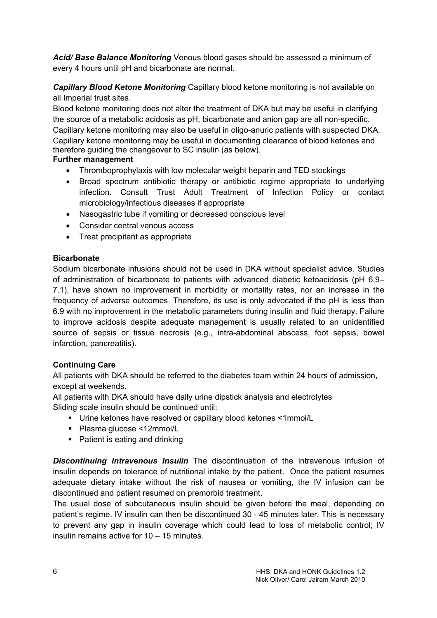Acid/ Base Balance Monitoring Venous blood gases should be assessed a minimum of every 4 hours until pH and bicarbonate are normal.

Capillary Blood Ketone Monitoring Capillary blood ketone monitoring is not available on all Imperial trust sites.

Blood ketone monitoring does not alter the treatment of DKA but may be useful in clarifying the source of a metabolic acidosis as pH, bicarbonate and anion gap are all non-specific. Capillary ketone monitoring may also be useful in oligo-anuric patients with suspected DKA. Capillary ketone monitoring may be useful in documenting clearance of blood ketones and therefore guiding the changeover to SC insulin (as below).

## Further management

- Thromboprophylaxis with low molecular weight heparin and TED stockings
- Broad spectrum antibiotic therapy or antibiotic regime appropriate to underlying infection. Consult Trust Adult Treatment of Infection Policy or contact microbiology/infectious diseases if appropriate
- Nasogastric tube if vomiting or decreased conscious level
- Consider central venous access
- Treat precipitant as appropriate

## **Bicarbonate**

Sodium bicarbonate infusions should not be used in DKA without specialist advice. Studies of administration of bicarbonate to patients with advanced diabetic ketoacidosis (pH 6.9– 7.1), have shown no improvement in morbidity or mortality rates, nor an increase in the frequency of adverse outcomes. Therefore, its use is only advocated if the pH is less than 6.9 with no improvement in the metabolic parameters during insulin and fluid therapy. Failure to improve acidosis despite adequate management is usually related to an unidentified source of sepsis or tissue necrosis (e.g., intra-abdominal abscess, foot sepsis, bowel infarction, pancreatitis).

## Continuing Care

All patients with DKA should be referred to the diabetes team within 24 hours of admission, except at weekends.

All patients with DKA should have daily urine dipstick analysis and electrolytes Sliding scale insulin should be continued until:

- Urine ketones have resolved or capillary blood ketones <1mmol/L
- Plasma glucose <12mmol/L
- Patient is eating and drinking

**Discontinuing Intravenous Insulin** The discontinuation of the intravenous infusion of insulin depends on tolerance of nutritional intake by the patient. Once the patient resumes adequate dietary intake without the risk of nausea or vomiting, the IV infusion can be discontinued and patient resumed on premorbid treatment.

The usual dose of subcutaneous insulin should be given before the meal, depending on patient's regime. IV insulin can then be discontinued 30 - 45 minutes later. This is necessary to prevent any gap in insulin coverage which could lead to loss of metabolic control; IV insulin remains active for 10 – 15 minutes.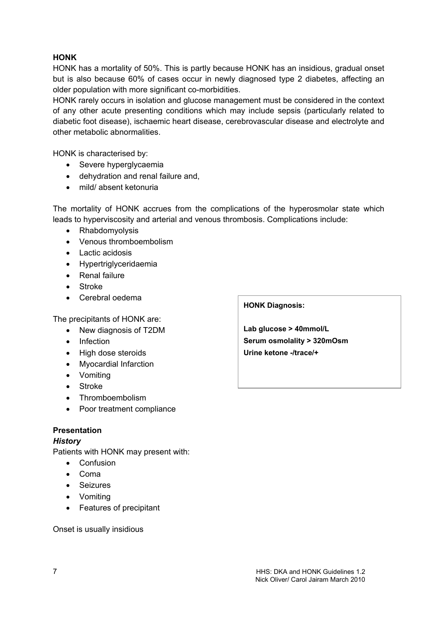## **HONK**

HONK has a mortality of 50%. This is partly because HONK has an insidious, gradual onset but is also because 60% of cases occur in newly diagnosed type 2 diabetes, affecting an older population with more significant co-morbidities.

HONK rarely occurs in isolation and glucose management must be considered in the context of any other acute presenting conditions which may include sepsis (particularly related to diabetic foot disease), ischaemic heart disease, cerebrovascular disease and electrolyte and other metabolic abnormalities.

HONK is characterised by:

- Severe hyperglycaemia
- dehydration and renal failure and,
- mild/ absent ketonuria

The mortality of HONK accrues from the complications of the hyperosmolar state which leads to hyperviscosity and arterial and venous thrombosis. Complications include:

- Rhabdomyolysis
- Venous thromboembolism
- Lactic acidosis
- Hypertriglyceridaemia
- Renal failure
- Stroke
- Cerebral oedema

The precipitants of HONK are:

- New diagnosis of T2DM
- Infection
- High dose steroids
- Myocardial Infarction
- Vomiting
- Stroke
- Thromboembolism
- Poor treatment compliance

## Presentation

## **History**

Patients with HONK may present with:

- Confusion
- Coma
- Seizures
- Vomiting
- Features of precipitant

Onset is usually insidious

## HONK Diagnosis:

Lab glucose > 40mmol/L Serum osmolality > 320mOsm Urine ketone -/trace/+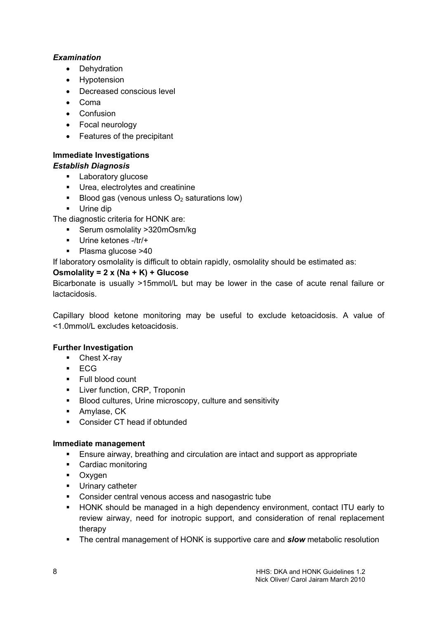## Examination

- Dehydration
- Hypotension
- Decreased conscious level
- Coma
- Confusion
- Focal neurology
- Features of the precipitant

# Immediate Investigations

# Establish Diagnosis

- **Laboratory glucose**
- **Urea, electrolytes and creatinine**
- Blood gas (venous unless  $O<sub>2</sub>$  saturations low)
- **Urine dip**

The diagnostic criteria for HONK are:

- Serum osmolality >320mOsm/kg
- Urine ketones -/tr/+
- Plasma glucose >40

If laboratory osmolality is difficult to obtain rapidly, osmolality should be estimated as:

## Osmolality =  $2 \times (Na + K) + Glucose$

Bicarbonate is usually >15mmol/L but may be lower in the case of acute renal failure or lactacidosis.

Capillary blood ketone monitoring may be useful to exclude ketoacidosis. A value of <1.0mmol/L excludes ketoacidosis.

## Further Investigation

- Chest X-ray
- $ECG$
- **Full blood count**
- **Liver function, CRP, Troponin**
- Blood cultures, Urine microscopy, culture and sensitivity
- **Amylase, CK**
- Consider CT head if obtunded

## Immediate management

- Ensure airway, breathing and circulation are intact and support as appropriate
- Cardiac monitoring
- **Dxygen**
- **Urinary catheter**
- Consider central venous access and nasogastric tube
- HONK should be managed in a high dependency environment, contact ITU early to review airway, need for inotropic support, and consideration of renal replacement therapy
- The central management of HONK is supportive care and **slow** metabolic resolution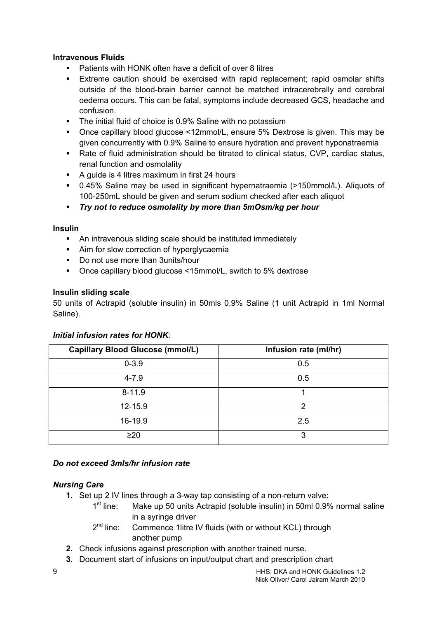## Intravenous Fluids

- Patients with HONK often have a deficit of over 8 litres
- Extreme caution should be exercised with rapid replacement; rapid osmolar shifts outside of the blood-brain barrier cannot be matched intracerebrally and cerebral oedema occurs. This can be fatal, symptoms include decreased GCS, headache and confusion.
- The initial fluid of choice is 0.9% Saline with no potassium
- Once capillary blood glucose <12mmol/L, ensure 5% Dextrose is given. This may be given concurrently with 0.9% Saline to ensure hydration and prevent hyponatraemia
- Rate of fluid administration should be titrated to clinical status, CVP, cardiac status, renal function and osmolality
- A guide is 4 litres maximum in first 24 hours
- 0.45% Saline may be used in significant hypernatraemia (>150mmol/L). Aliquots of 100-250mL should be given and serum sodium checked after each aliquot

Try not to reduce osmolality by more than 5mOsm/kg per hour

## Insulin

- An intravenous sliding scale should be instituted immediately
- Aim for slow correction of hyperglycaemia
- Do not use more than 3units/hour
- Once capillary blood glucose <15mmol/L, switch to 5% dextrose

## Insulin sliding scale

50 units of Actrapid (soluble insulin) in 50mls 0.9% Saline (1 unit Actrapid in 1ml Normal Saline).

## Initial infusion rates for HONK:

| <b>Capillary Blood Glucose (mmol/L)</b> | Infusion rate (ml/hr) |
|-----------------------------------------|-----------------------|
| $0 - 3.9$                               | 0.5                   |
| $4 - 7.9$                               | 0.5                   |
| $8 - 11.9$                              |                       |
| $12 - 15.9$                             | 2                     |
| 16-19.9                                 | 2.5                   |
| $\geq$ 20                               | 3                     |

## Do not exceed 3mls/hr infusion rate

## Nursing Care

- 1. Set up 2 IV lines through a 3-way tap consisting of a non-return valve:
	- $1^{\text{st}}$  line: Make up 50 units Actrapid (soluble insulin) in 50ml 0.9% normal saline in a syringe driver
	- $2<sup>nd</sup>$  line: Commence 1 litre IV fluids (with or without KCL) through another pump
- 2. Check infusions against prescription with another trained nurse.
- 3. Document start of infusions on input/output chart and prescription chart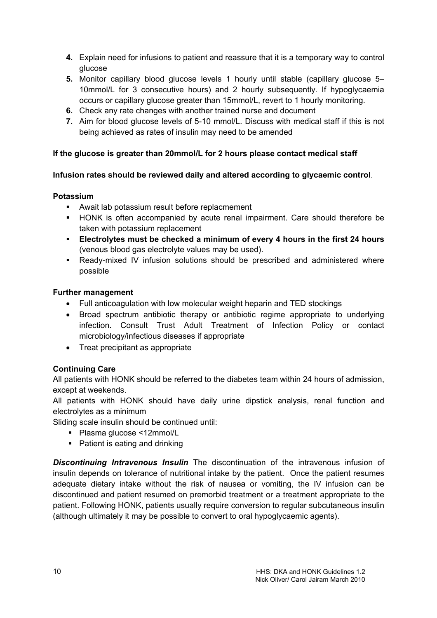- 4. Explain need for infusions to patient and reassure that it is a temporary way to control glucose
- 5. Monitor capillary blood glucose levels 1 hourly until stable (capillary glucose 5– 10mmol/L for 3 consecutive hours) and 2 hourly subsequently. If hypoglycaemia occurs or capillary glucose greater than 15mmol/L, revert to 1 hourly monitoring.
- 6. Check any rate changes with another trained nurse and document
- 7. Aim for blood glucose levels of 5-10 mmol/L. Discuss with medical staff if this is not being achieved as rates of insulin may need to be amended

## If the glucose is greater than 20mmol/L for 2 hours please contact medical staff

## Infusion rates should be reviewed daily and altered according to glycaemic control.

## Potassium

- Await lab potassium result before replacmement
- HONK is often accompanied by acute renal impairment. Care should therefore be taken with potassium replacement
- Electrolytes must be checked a minimum of every 4 hours in the first 24 hours (venous blood gas electrolyte values may be used).
- Ready-mixed IV infusion solutions should be prescribed and administered where possible

## Further management

- Full anticoagulation with low molecular weight heparin and TED stockings
- Broad spectrum antibiotic therapy or antibiotic regime appropriate to underlying infection. Consult Trust Adult Treatment of Infection Policy or contact microbiology/infectious diseases if appropriate
- Treat precipitant as appropriate

# Continuing Care

All patients with HONK should be referred to the diabetes team within 24 hours of admission, except at weekends.

All patients with HONK should have daily urine dipstick analysis, renal function and electrolytes as a minimum

Sliding scale insulin should be continued until:

- Plasma glucose <12mmol/L
- Patient is eating and drinking

**Discontinuing Intravenous Insulin** The discontinuation of the intravenous infusion of insulin depends on tolerance of nutritional intake by the patient. Once the patient resumes adequate dietary intake without the risk of nausea or vomiting, the IV infusion can be discontinued and patient resumed on premorbid treatment or a treatment appropriate to the patient. Following HONK, patients usually require conversion to regular subcutaneous insulin (although ultimately it may be possible to convert to oral hypoglycaemic agents).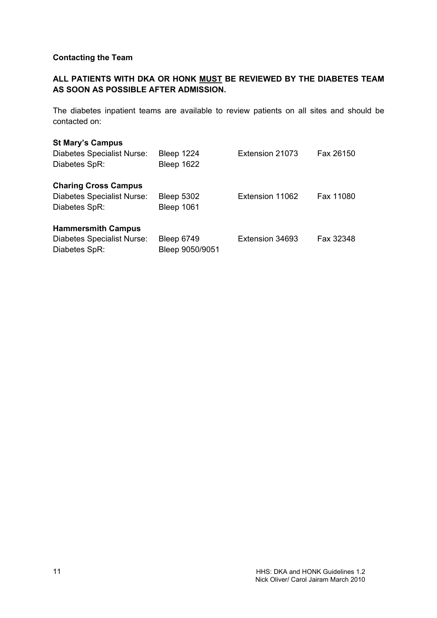## Contacting the Team

## ALL PATIENTS WITH DKA OR HONK MUST BE REVIEWED BY THE DIABETES TEAM AS SOON AS POSSIBLE AFTER ADMISSION.

The diabetes inpatient teams are available to review patients on all sites and should be contacted on:

#### St Mary's Campus

| Diabetes Specialist Nurse:<br>Diabetes SpR:                                       | Bleep 1224<br>Bleep 1622               | Extension 21073 | Fax 26150 |
|-----------------------------------------------------------------------------------|----------------------------------------|-----------------|-----------|
| <b>Charing Cross Campus</b><br><b>Diabetes Specialist Nurse:</b><br>Diabetes SpR: | <b>Bleep 5302</b><br><b>Bleep 1061</b> | Extension 11062 | Fax 11080 |
| <b>Hammersmith Campus</b><br><b>Diabetes Specialist Nurse:</b><br>Diabetes SpR:   | <b>Bleep 6749</b><br>Bleep 9050/9051   | Extension 34693 | Fax 32348 |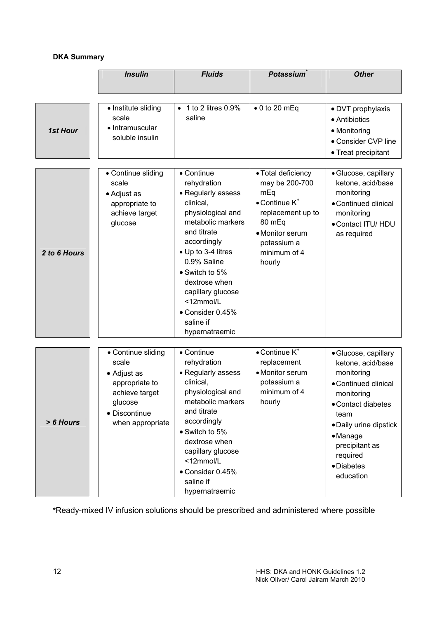## DKA Summary

|                 | <b>Insulin</b>                                                                                                                 | <b>Fluids</b>                                                                                                                                                                                                                                                                                     | <b>Potassium</b>                                                                                                                                                   | <b>Other</b>                                                                                                                                                                                                               |
|-----------------|--------------------------------------------------------------------------------------------------------------------------------|---------------------------------------------------------------------------------------------------------------------------------------------------------------------------------------------------------------------------------------------------------------------------------------------------|--------------------------------------------------------------------------------------------------------------------------------------------------------------------|----------------------------------------------------------------------------------------------------------------------------------------------------------------------------------------------------------------------------|
|                 |                                                                                                                                |                                                                                                                                                                                                                                                                                                   |                                                                                                                                                                    |                                                                                                                                                                                                                            |
| <b>1st Hour</b> | • Institute sliding<br>scale<br>• Intramuscular<br>soluble insulin                                                             | 1 to 2 litres 0.9%<br>saline                                                                                                                                                                                                                                                                      | $\bullet$ 0 to 20 mEq                                                                                                                                              | • DVT prophylaxis<br>• Antibiotics<br>• Monitoring<br>• Consider CVP line<br>• Treat precipitant                                                                                                                           |
| 2 to 6 Hours    | • Continue sliding<br>scale<br>• Adjust as<br>appropriate to<br>achieve target<br>glucose                                      | • Continue<br>rehydration<br>• Regularly assess<br>clinical,<br>physiological and<br>metabolic markers<br>and titrate<br>accordingly<br>• Up to 3-4 litres<br>0.9% Saline<br>• Switch to 5%<br>dextrose when<br>capillary glucose<br><12mmol/L<br>• Consider 0.45%<br>saline if<br>hypernatraemic | • Total deficiency<br>may be 200-700<br>mEq<br>$\bullet$ Continue $K^*$<br>replacement up to<br>80 mEq<br>• Monitor serum<br>potassium a<br>minimum of 4<br>hourly | · Glucose, capillary<br>ketone, acid/base<br>monitoring<br>• Continued clinical<br>monitoring<br>• Contact ITU/ HDU<br>as required                                                                                         |
| > 6 Hours       | • Continue sliding<br>scale<br>• Adjust as<br>appropriate to<br>achieve target<br>glucose<br>• Discontinue<br>when appropriate | • Continue<br>rehydration<br>• Regularly assess<br>clinical,<br>physiological and<br>metabolic markers<br>and titrate<br>accordingly<br>• Switch to 5%<br>dextrose when<br>capillary glucose<br><12mmol/L<br>• Consider 0.45%<br>saline if<br>hypernatraemic                                      | $\bullet$ Continue $K^*$<br>replacement<br>• Monitor serum<br>potassium a<br>minimum of 4<br>hourly                                                                | · Glucose, capillary<br>ketone, acid/base<br>monitoring<br>• Continued clinical<br>monitoring<br>• Contact diabetes<br>team<br>• Daily urine dipstick<br>• Manage<br>precipitant as<br>required<br>· Diabetes<br>education |

\*Ready-mixed IV infusion solutions should be prescribed and administered where possible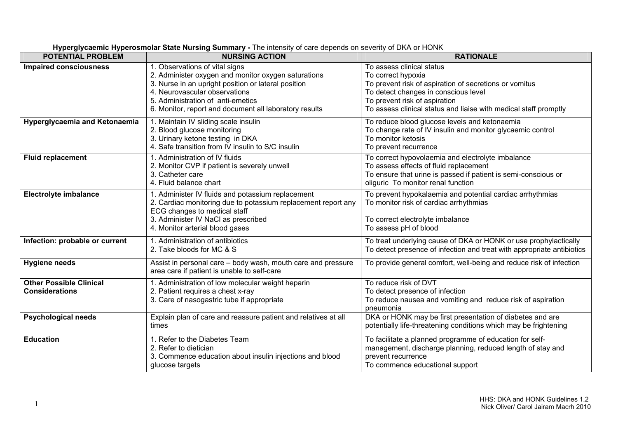| <b>POTENTIAL PROBLEM</b>                                | $\ldots$<br><b>NURSING ACTION</b>                                                                                                                                                                                                                                            | <b>RATIONALE</b>                                                                                                                                                                                                                                       |
|---------------------------------------------------------|------------------------------------------------------------------------------------------------------------------------------------------------------------------------------------------------------------------------------------------------------------------------------|--------------------------------------------------------------------------------------------------------------------------------------------------------------------------------------------------------------------------------------------------------|
| <b>Impaired consciousness</b>                           | 1. Observations of vital signs<br>2. Administer oxygen and monitor oxygen saturations<br>3. Nurse in an upright position or lateral position<br>4. Neurovascular observations<br>5. Administration of anti-emetics<br>6. Monitor, report and document all laboratory results | To assess clinical status<br>To correct hypoxia<br>To prevent risk of aspiration of secretions or vomitus<br>To detect changes in conscious level<br>To prevent risk of aspiration<br>To assess clinical status and liaise with medical staff promptly |
| Hyperglycaemia and Ketonaemia                           | 1. Maintain IV sliding scale insulin<br>2. Blood glucose monitoring<br>3. Urinary ketone testing in DKA<br>4. Safe transition from IV insulin to S/C insulin                                                                                                                 | To reduce blood glucose levels and ketonaemia<br>To change rate of IV insulin and monitor glycaemic control<br>To monitor ketosis<br>To prevent recurrence                                                                                             |
| <b>Fluid replacement</b>                                | 1. Administration of IV fluids<br>2. Monitor CVP if patient is severely unwell<br>3. Catheter care<br>4. Fluid balance chart                                                                                                                                                 | To correct hypovolaemia and electrolyte imbalance<br>To assess effects of fluid replacement<br>To ensure that urine is passed if patient is semi-conscious or<br>oliguric To monitor renal function                                                    |
| <b>Electrolyte imbalance</b>                            | 1. Administer IV fluids and potassium replacement<br>2. Cardiac monitoring due to potassium replacement report any<br>ECG changes to medical staff<br>3. Administer IV NaCl as prescribed<br>4. Monitor arterial blood gases                                                 | To prevent hypokalaemia and potential cardiac arrhythmias<br>To monitor risk of cardiac arrhythmias<br>To correct electrolyte imbalance<br>To assess pH of blood                                                                                       |
| Infection: probable or current                          | 1. Administration of antibiotics<br>2. Take bloods for MC & S                                                                                                                                                                                                                | To treat underlying cause of DKA or HONK or use prophylactically<br>To detect presence of infection and treat with appropriate antibiotics                                                                                                             |
| <b>Hygiene needs</b>                                    | Assist in personal care - body wash, mouth care and pressure<br>area care if patient is unable to self-care                                                                                                                                                                  | To provide general comfort, well-being and reduce risk of infection                                                                                                                                                                                    |
| <b>Other Possible Clinical</b><br><b>Considerations</b> | 1. Administration of low molecular weight heparin<br>2. Patient requires a chest x-ray<br>3. Care of nasogastric tube if appropriate                                                                                                                                         | To reduce risk of DVT<br>To detect presence of infection<br>To reduce nausea and vomiting and reduce risk of aspiration<br>pneumonia                                                                                                                   |
| <b>Psychological needs</b>                              | Explain plan of care and reassure patient and relatives at all<br>times                                                                                                                                                                                                      | DKA or HONK may be first presentation of diabetes and are<br>potentially life-threatening conditions which may be frightening                                                                                                                          |
| <b>Education</b>                                        | 1. Refer to the Diabetes Team<br>2. Refer to dietician<br>3. Commence education about insulin injections and blood<br>glucose targets                                                                                                                                        | To facilitate a planned programme of education for self-<br>management, discharge planning, reduced length of stay and<br>prevent recurrence<br>To commence educational support                                                                        |

#### **Hyperglycaemic Hyperosmolar State Nursing Summary** - The intensity of care depends on severity of DKA or HONK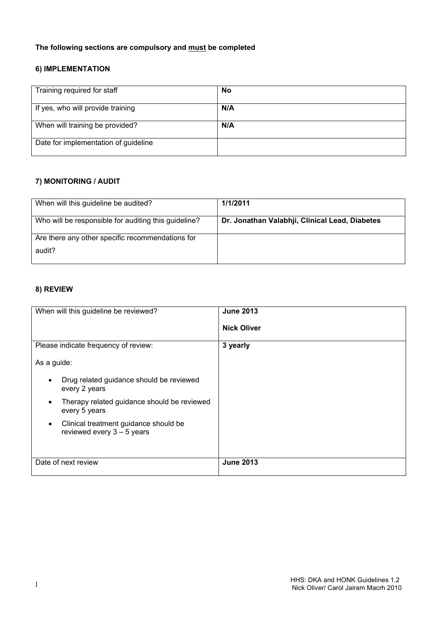# The following sections are compulsory and must be completed

## 6) IMPLEMENTATION

| Training required for staff          | No  |
|--------------------------------------|-----|
| If yes, who will provide training    | N/A |
| When will training be provided?      | N/A |
| Date for implementation of guideline |     |

## 7) MONITORING / AUDIT

| When will this guideline be audited?                 | 1/1/2011                                       |
|------------------------------------------------------|------------------------------------------------|
| Who will be responsible for auditing this guideline? | Dr. Jonathan Valabhji, Clinical Lead, Diabetes |
| Are there any other specific recommendations for     |                                                |
| audit?                                               |                                                |

#### 8) REVIEW

| When will this guideline be reviewed?                                              | <b>June 2013</b>   |
|------------------------------------------------------------------------------------|--------------------|
|                                                                                    | <b>Nick Oliver</b> |
|                                                                                    |                    |
| Please indicate frequency of review:                                               | 3 yearly           |
| As a guide:                                                                        |                    |
| Drug related guidance should be reviewed<br>$\bullet$<br>every 2 years             |                    |
| Therapy related guidance should be reviewed<br>$\bullet$<br>every 5 years          |                    |
| Clinical treatment guidance should be<br>$\bullet$<br>reviewed every $3 - 5$ years |                    |
|                                                                                    |                    |
| Date of next review                                                                | <b>June 2013</b>   |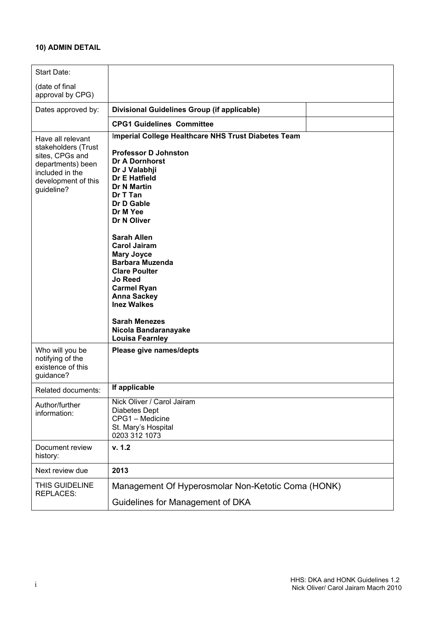# 10) ADMIN DETAIL

| Start Date:                                                                                                                              |                                                                                                                                                                                                                                                                                                                                                                                                                                                                                                                   |
|------------------------------------------------------------------------------------------------------------------------------------------|-------------------------------------------------------------------------------------------------------------------------------------------------------------------------------------------------------------------------------------------------------------------------------------------------------------------------------------------------------------------------------------------------------------------------------------------------------------------------------------------------------------------|
| (date of final<br>approval by CPG)                                                                                                       |                                                                                                                                                                                                                                                                                                                                                                                                                                                                                                                   |
| Dates approved by:                                                                                                                       | Divisional Guidelines Group (if applicable)                                                                                                                                                                                                                                                                                                                                                                                                                                                                       |
|                                                                                                                                          | <b>CPG1 Guidelines Committee</b>                                                                                                                                                                                                                                                                                                                                                                                                                                                                                  |
| Have all relevant<br>stakeholders (Trust<br>sites, CPGs and<br>departments) been<br>included in the<br>development of this<br>guideline? | Imperial College Healthcare NHS Trust Diabetes Team<br><b>Professor D Johnston</b><br><b>Dr A Dornhorst</b><br>Dr J Valabhji<br><b>Dr E Hatfield</b><br><b>Dr N Martin</b><br>Dr T Tan<br>Dr D Gable<br>Dr M Yee<br>Dr N Oliver<br><b>Sarah Allen</b><br><b>Carol Jairam</b><br><b>Mary Joyce</b><br><b>Barbara Muzenda</b><br><b>Clare Poulter</b><br><b>Jo Reed</b><br><b>Carmel Ryan</b><br><b>Anna Sackey</b><br><b>Inez Walkes</b><br><b>Sarah Menezes</b><br>Nicola Bandaranayake<br><b>Louisa Fearnley</b> |
| Who will you be<br>notifying of the<br>existence of this<br>guidance?                                                                    | Please give names/depts                                                                                                                                                                                                                                                                                                                                                                                                                                                                                           |
| Related documents:                                                                                                                       | If applicable                                                                                                                                                                                                                                                                                                                                                                                                                                                                                                     |
| Author/further<br>information:                                                                                                           | Nick Oliver / Carol Jairam<br><b>Diabetes Dept</b><br>CPG1 - Medicine<br>St. Mary's Hospital<br>0203 312 1073                                                                                                                                                                                                                                                                                                                                                                                                     |
| Document review<br>history:                                                                                                              | v. 1.2                                                                                                                                                                                                                                                                                                                                                                                                                                                                                                            |
| Next review due                                                                                                                          | 2013                                                                                                                                                                                                                                                                                                                                                                                                                                                                                                              |
| THIS GUIDELINE<br><b>REPLACES:</b>                                                                                                       | Management Of Hyperosmolar Non-Ketotic Coma (HONK)                                                                                                                                                                                                                                                                                                                                                                                                                                                                |
|                                                                                                                                          | Guidelines for Management of DKA                                                                                                                                                                                                                                                                                                                                                                                                                                                                                  |